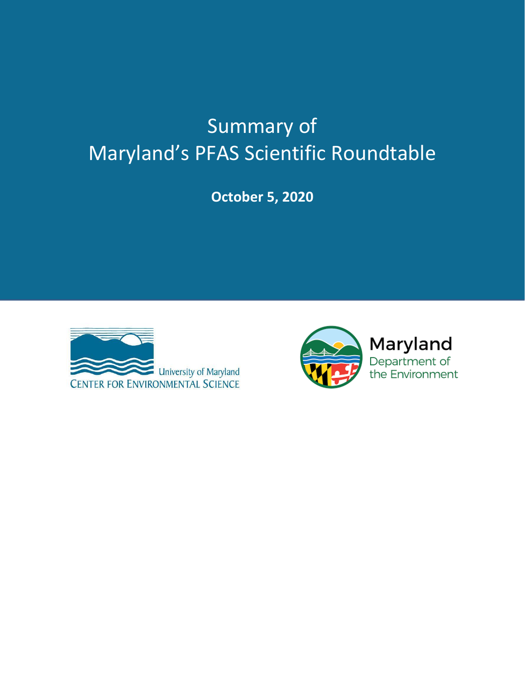# Summary of Maryland's PFAS Scientific Roundtable

**October 5, 2020**



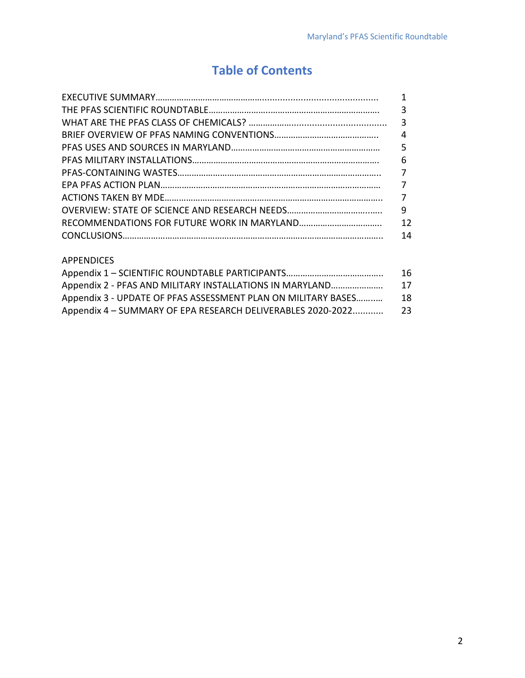## **Table of Contents**

| 3              |
|----------------|
|                |
| $\overline{4}$ |
|                |
| 6              |
|                |
|                |
|                |
| 9              |
| 12             |
| 14             |
|                |

#### APPENDICES

|                                                               | 16 |
|---------------------------------------------------------------|----|
| Appendix 2 - PFAS AND MILITARY INSTALLATIONS IN MARYLAND      | 17 |
| Appendix 3 - UPDATE OF PFAS ASSESSMENT PLAN ON MILITARY BASES | 18 |
| Appendix 4 - SUMMARY OF EPA RESEARCH DELIVERABLES 2020-2022   | 23 |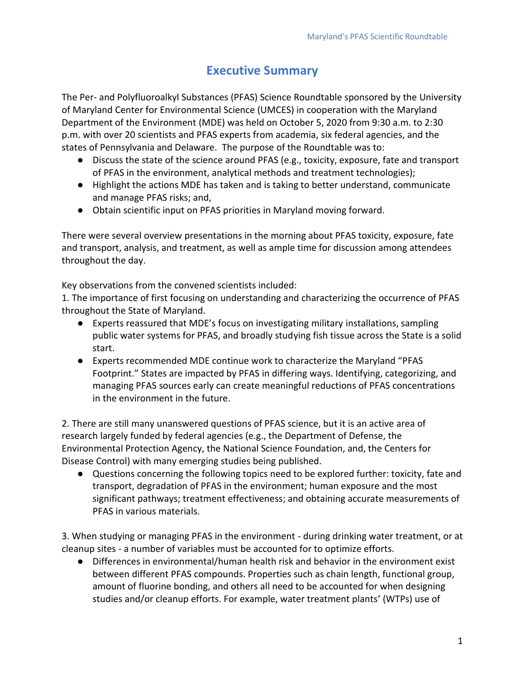### **Executive Summary**

The Per- and Polyfluoroalkyl Substances (PFAS) Science Roundtable sponsored by the University of Maryland Center for Environmental Science (UMCES) in cooperation with the Maryland Department of the Environment (MDE) was held on October 5, 2020 from 9:30 a.m. to 2:30 p.m. with over 20 scientists and PFAS experts from academia, six federal agencies, and the states of Pennsylvania and Delaware. The purpose of the Roundtable was to:

- Discuss the state of the science around PFAS (e.g., toxicity, exposure, fate and transport of PFAS in the environment, analytical methods and treatment technologies);
- Highlight the actions MDE has taken and is taking to better understand, communicate and manage PFAS risks; and,
- Obtain scientific input on PFAS priorities in Maryland moving forward.

There were several overview presentations in the morning about PFAS toxicity, exposure, fate and transport, analysis, and treatment, as well as ample time for discussion among attendees throughout the day.

Key observations from the convened scientists included:

1. The importance of first focusing on understanding and characterizing the occurrence of PFAS throughout the State of Maryland.

- Experts reassured that MDE's focus on investigating military installations, sampling public water systems for PFAS, and broadly studying fish tissue across the State is a solid start.
- Experts recommended MDE continue work to characterize the Maryland "PFAS Footprint." States are impacted by PFAS in differing ways. Identifying, categorizing, and managing PFAS sources early can create meaningful reductions of PFAS concentrations in the environment in the future.

2. There are still many unanswered questions of PFAS science, but it is an active area of research largely funded by federal agencies (e.g., the Department of Defense, the Environmental Protection Agency, the National Science Foundation, and, the Centers for Disease Control) with many emerging studies being published.

● Questions concerning the following topics need to be explored further: toxicity, fate and transport, degradation of PFAS in the environment; human exposure and the most significant pathways; treatment effectiveness; and obtaining accurate measurements of PFAS in various materials.

3. When studying or managing PFAS in the environment - during drinking water treatment, or at cleanup sites - a number of variables must be accounted for to optimize efforts.

● Differences in environmental/human health risk and behavior in the environment exist between different PFAS compounds. Properties such as chain length, functional group, amount of fluorine bonding, and others all need to be accounted for when designing studies and/or cleanup efforts. For example, water treatment plants' (WTPs) use of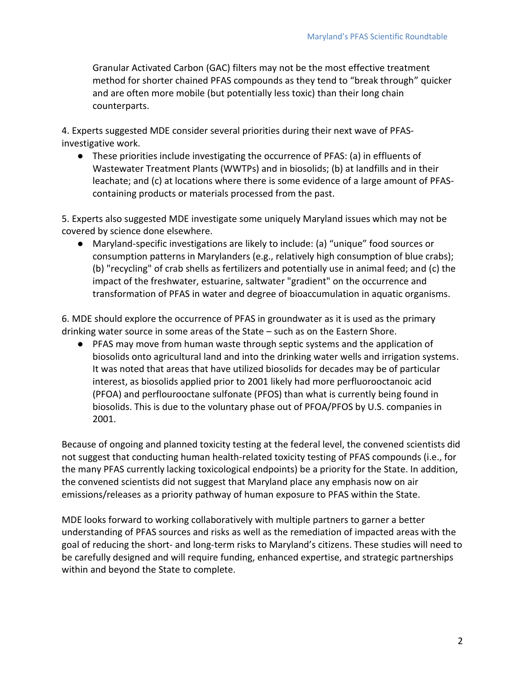Granular Activated Carbon (GAC) filters may not be the most effective treatment method for shorter chained PFAS compounds as they tend to "break through" quicker and are often more mobile (but potentially less toxic) than their long chain counterparts.

4. Experts suggested MDE consider several priorities during their next wave of PFASinvestigative work.

● These priorities include investigating the occurrence of PFAS: (a) in effluents of Wastewater Treatment Plants (WWTPs) and in biosolids; (b) at landfills and in their leachate; and (c) at locations where there is some evidence of a large amount of PFAScontaining products or materials processed from the past.

5. Experts also suggested MDE investigate some uniquely Maryland issues which may not be covered by science done elsewhere.

● Maryland-specific investigations are likely to include: (a) "unique" food sources or consumption patterns in Marylanders (e.g., relatively high consumption of blue crabs); (b) "recycling" of crab shells as fertilizers and potentially use in animal feed; and (c) the impact of the freshwater, estuarine, saltwater "gradient" on the occurrence and transformation of PFAS in water and degree of bioaccumulation in aquatic organisms.

6. MDE should explore the occurrence of PFAS in groundwater as it is used as the primary drinking water source in some areas of the State – such as on the Eastern Shore.

● PFAS may move from human waste through septic systems and the application of biosolids onto agricultural land and into the drinking water wells and irrigation systems. It was noted that areas that have utilized biosolids for decades may be of particular interest, as biosolids applied prior to 2001 likely had more perfluorooctanoic acid (PFOA) and perflourooctane sulfonate (PFOS) than what is currently being found in biosolids. This is due to the voluntary phase out of PFOA/PFOS by U.S. companies in 2001.

Because of ongoing and planned toxicity testing at the federal level, the convened scientists did not suggest that conducting human health-related toxicity testing of PFAS compounds (i.e., for the many PFAS currently lacking toxicological endpoints) be a priority for the State. In addition, the convened scientists did not suggest that Maryland place any emphasis now on air emissions/releases as a priority pathway of human exposure to PFAS within the State.

MDE looks forward to working collaboratively with multiple partners to garner a better understanding of PFAS sources and risks as well as the remediation of impacted areas with the goal of reducing the short- and long-term risks to Maryland's citizens. These studies will need to be carefully designed and will require funding, enhanced expertise, and strategic partnerships within and beyond the State to complete.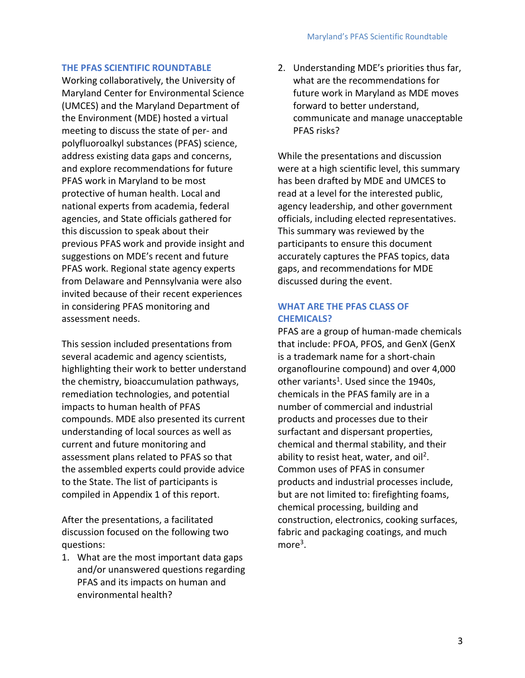#### **THE PFAS SCIENTIFIC ROUNDTABLE**

Working collaboratively, the University of Maryland Center for Environmental Science (UMCES) and the Maryland Department of the Environment (MDE) hosted a virtual meeting to discuss the state of per- and polyfluoroalkyl substances (PFAS) science, address existing data gaps and concerns, and explore recommendations for future PFAS work in Maryland to be most protective of human health. Local and national experts from academia, federal agencies, and State officials gathered for this discussion to speak about their previous PFAS work and provide insight and suggestions on MDE's recent and future PFAS work. Regional state agency experts from Delaware and Pennsylvania were also invited because of their recent experiences in considering PFAS monitoring and assessment needs.

This session included presentations from several academic and agency scientists, highlighting their work to better understand the chemistry, bioaccumulation pathways, remediation technologies, and potential impacts to human health of PFAS compounds. MDE also presented its current understanding of local sources as well as current and future monitoring and assessment plans related to PFAS so that the assembled experts could provide advice to the State. The list of participants is compiled in Appendix 1 of this report.

After the presentations, a facilitated discussion focused on the following two questions:

1. What are the most important data gaps and/or unanswered questions regarding PFAS and its impacts on human and environmental health?

2. Understanding MDE's priorities thus far, what are the recommendations for future work in Maryland as MDE moves forward to better understand, communicate and manage unacceptable PFAS risks?

While the presentations and discussion were at a high scientific level, this summary has been drafted by MDE and UMCES to read at a level for the interested public, agency leadership, and other government officials, including elected representatives. This summary was reviewed by the participants to ensure this document accurately captures the PFAS topics, data gaps, and recommendations for MDE discussed during the event.

#### **WHAT ARE THE PFAS CLASS OF CHEMICALS?**

PFAS are a group of human-made chemicals that include: PFOA, PFOS, and GenX (GenX is a trademark name for a short-chain organoflourine compound) and over 4,000 other variants<sup>1</sup>. Used since the 1940s, chemicals in the PFAS family are in a number of commercial and industrial products and processes due to their surfactant and dispersant properties, chemical and thermal stability, and their ability to resist heat, water, and oil<sup>2</sup>. Common uses of PFAS in consumer products and industrial processes include, but are not limited to: firefighting foams, chemical processing, building and construction, electronics, cooking surfaces, fabric and packaging coatings, and much  $more<sup>3</sup>$ .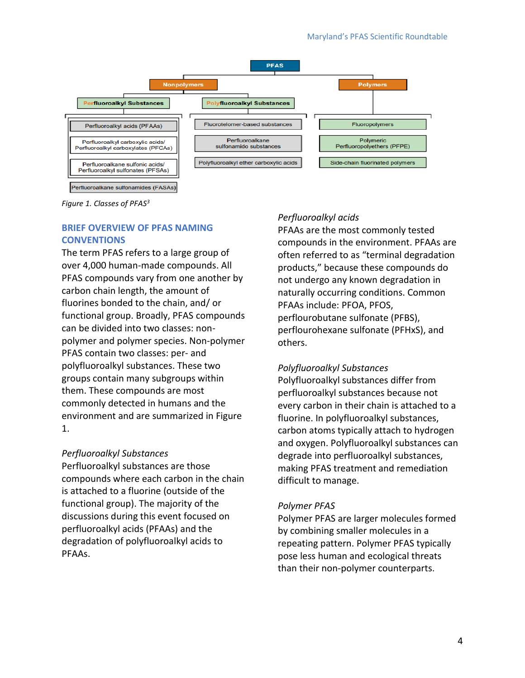

Perfluoroalkane sulfonamides (FASAs)

*Figure 1. Classes of PFAS<sup>3</sup>*

#### **BRIEF OVERVIEW OF PFAS NAMING CONVENTIONS**

The term PFAS refers to a large group of over 4,000 human-made compounds. All PFAS compounds vary from one another by carbon chain length, the amount of fluorines bonded to the chain, and/ or functional group. Broadly, PFAS compounds can be divided into two classes: nonpolymer and polymer species. Non-polymer PFAS contain two classes: per- and polyfluoroalkyl substances. These two groups contain many subgroups within them. These compounds are most commonly detected in humans and the environment and are summarized in Figure 1.

#### *Perfluoroalkyl Substances*

Perfluoroalkyl substances are those compounds where each carbon in the chain is attached to a fluorine (outside of the functional group). The majority of the discussions during this event focused on perfluoroalkyl acids (PFAAs) and the degradation of polyfluoroalkyl acids to PFAAs.

#### *Perfluoroalkyl acids*

PFAAs are the most commonly tested compounds in the environment. PFAAs are often referred to as "terminal degradation products," because these compounds do not undergo any known degradation in naturally occurring conditions. Common PFAAs include: PFOA, PFOS, perflourobutane sulfonate (PFBS), perflourohexane sulfonate (PFHxS), and others.

#### *Polyfluoroalkyl Substances*

Polyfluoroalkyl substances differ from perfluoroalkyl substances because not every carbon in their chain is attached to a fluorine. In polyfluoroalkyl substances, carbon atoms typically attach to hydrogen and oxygen. Polyfluoroalkyl substances can degrade into perfluoroalkyl substances, making PFAS treatment and remediation difficult to manage.

#### *Polymer PFAS*

Polymer PFAS are larger molecules formed by combining smaller molecules in a repeating pattern. Polymer PFAS typically pose less human and ecological threats than their non-polymer counterparts.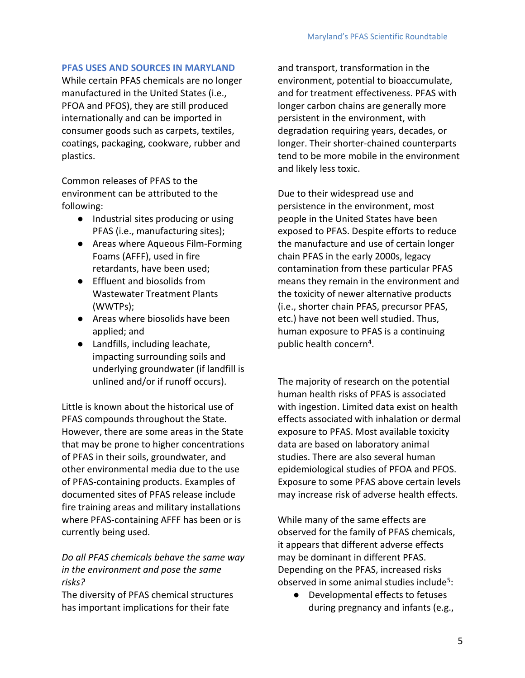#### **PFAS USES AND SOURCES IN MARYLAND**

While certain PFAS chemicals are no longer manufactured in the United States (i.e., PFOA and PFOS), they are still produced internationally and can be imported in consumer goods such as carpets, textiles, coatings, packaging, cookware, rubber and plastics.

Common releases of PFAS to the environment can be attributed to the following:

- Industrial sites producing or using PFAS (i.e., manufacturing sites);
- Areas where Aqueous Film-Forming Foams (AFFF), used in fire retardants, have been used;
- Effluent and biosolids from Wastewater Treatment Plants (WWTPs);
- Areas where biosolids have been applied; and
- Landfills, including leachate, impacting surrounding soils and underlying groundwater (if landfill is unlined and/or if runoff occurs).

Little is known about the historical use of PFAS compounds throughout the State. However, there are some areas in the State that may be prone to higher concentrations of PFAS in their soils, groundwater, and other environmental media due to the use of PFAS-containing products. Examples of documented sites of PFAS release include fire training areas and military installations where PFAS-containing AFFF has been or is currently being used.

*Do all PFAS chemicals behave the same way in the environment and pose the same risks?*

The diversity of PFAS chemical structures has important implications for their fate

and transport, transformation in the environment, potential to bioaccumulate, and for treatment effectiveness. PFAS with longer carbon chains are generally more persistent in the environment, with degradation requiring years, decades, or longer. Their shorter-chained counterparts tend to be more mobile in the environment and likely less toxic.

Due to their widespread use and persistence in the environment, most people in the United States have been exposed to PFAS. Despite efforts to reduce the manufacture and use of certain longer chain PFAS in the early 2000s, legacy contamination from these particular PFAS means they remain in the environment and the toxicity of newer alternative products (i.e., shorter chain PFAS, precursor PFAS, etc.) have not been well studied. Thus, human exposure to PFAS is a continuing public health concern<sup>4</sup>.

The majority of research on the potential human health risks of PFAS is associated with ingestion. Limited data exist on health effects associated with inhalation or dermal exposure to PFAS. Most available toxicity data are based on laboratory animal studies. There are also several human epidemiological studies of PFOA and PFOS. Exposure to some PFAS above certain levels may increase risk of adverse health effects.

While many of the same effects are observed for the family of PFAS chemicals, it appears that different adverse effects may be dominant in different PFAS. Depending on the PFAS, increased risks observed in some animal studies include<sup>5</sup>:

● Developmental effects to fetuses during pregnancy and infants (e.g.,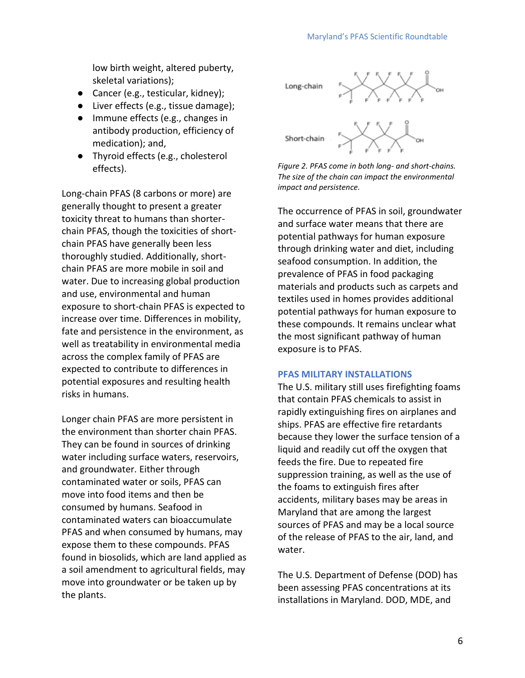low birth weight, altered puberty, skeletal variations);

- Cancer (e.g., testicular, kidney);
- Liver effects (e.g., tissue damage);
- Immune effects (e.g., changes in antibody production, efficiency of medication); and,
- Thyroid effects (e.g., cholesterol effects).

Long-chain PFAS (8 carbons or more) are generally thought to present a greater toxicity threat to humans than shorterchain PFAS, though the toxicities of shortchain PFAS have generally been less thoroughly studied. Additionally, shortchain PFAS are more mobile in soil and water. Due to increasing global production and use, environmental and human exposure to short-chain PFAS is expected to increase over time. Differences in mobility, fate and persistence in the environment, as well as treatability in environmental media across the complex family of PFAS are expected to contribute to differences in potential exposures and resulting health risks in humans.

Longer chain PFAS are more persistent in the environment than shorter chain PFAS. They can be found in sources of drinking water including surface waters, reservoirs, and groundwater. Either through contaminated water or soils, PFAS can move into food items and then be consumed by humans. Seafood in contaminated waters can bioaccumulate PFAS and when consumed by humans, may expose them to these compounds. PFAS found in biosolids, which are land applied as a soil amendment to agricultural fields, may move into groundwater or be taken up by the plants.



*Figure 2. PFAS come in both long- and short-chains. The size of the chain can impact the environmental impact and persistence.* 

The occurrence of PFAS in soil, groundwater and surface water means that there are potential pathways for human exposure through drinking water and diet, including seafood consumption. In addition, the prevalence of PFAS in food packaging materials and products such as carpets and textiles used in homes provides additional potential pathways for human exposure to these compounds. It remains unclear what the most significant pathway of human exposure is to PFAS.

#### **PFAS MILITARY INSTALLATIONS**

The U.S. military still uses firefighting foams that contain PFAS chemicals to assist in rapidly extinguishing fires on airplanes and ships. PFAS are effective fire retardants because they lower the surface tension of a liquid and readily cut off the oxygen that feeds the fire. Due to repeated fire suppression training, as well as the use of the foams to extinguish fires after accidents, military bases may be areas in Maryland that are among the largest sources of PFAS and may be a local source of the release of PFAS to the air, land, and water.

The U.S. Department of Defense (DOD) has been assessing PFAS concentrations at its installations in Maryland. DOD, MDE, and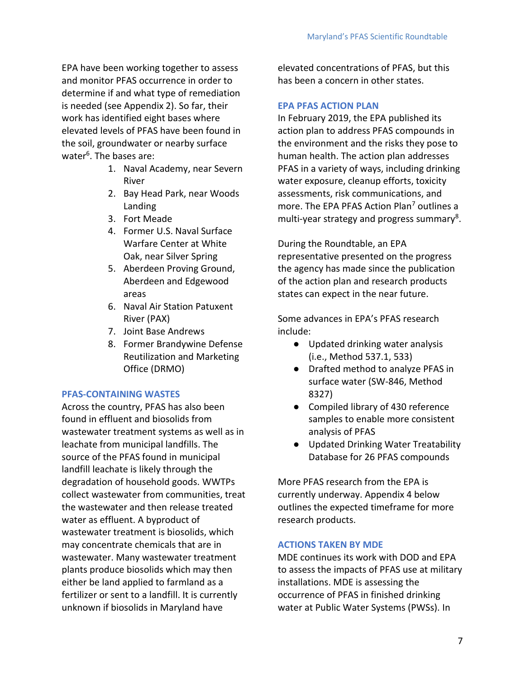EPA have been working together to assess and monitor PFAS occurrence in order to determine if and what type of remediation is needed (see Appendix 2). So far, their work has identified eight bases where elevated levels of PFAS have been found in the soil, groundwater or nearby surface water<sup>6</sup>. The bases are:

- 1. Naval Academy, near Severn River
- 2. Bay Head Park, near Woods Landing
- 3. Fort Meade
- 4. Former U.S. Naval Surface Warfare Center at White Oak, near Silver Spring
- 5. Aberdeen Proving Ground, Aberdeen and Edgewood areas
- 6. Naval Air Station Patuxent River (PAX)
- 7. Joint Base Andrews
- 8. Former Brandywine Defense Reutilization and Marketing Office (DRMO)

#### **PFAS-CONTAINING WASTES**

Across the country, PFAS has also been found in effluent and biosolids from wastewater treatment systems as well as in leachate from municipal landfills. The source of the PFAS found in municipal landfill leachate is likely through the degradation of household goods. WWTPs collect wastewater from communities, treat the wastewater and then release treated water as effluent. A byproduct of wastewater treatment is biosolids, which may concentrate chemicals that are in wastewater. Many wastewater treatment plants produce biosolids which may then either be land applied to farmland as a fertilizer or sent to a landfill. It is currently unknown if biosolids in Maryland have

elevated concentrations of PFAS, but this has been a concern in other states.

#### **EPA PFAS ACTION PLAN**

In February 2019, the EPA published its action plan to address PFAS compounds in the environment and the risks they pose to human health. The action plan addresses PFAS in a variety of ways, including drinking water exposure, cleanup efforts, toxicity assessments, risk communications, and more. The EPA PFAS Action Plan<sup>7</sup> outlines a multi-year strategy and progress summary<sup>8</sup>.

During the Roundtable, an EPA representative presented on the progress the agency has made since the publication of the action plan and research products states can expect in the near future.

Some advances in EPA's PFAS research include:

- Updated drinking water analysis (i.e., Method 537.1, 533)
- Drafted method to analyze PFAS in surface water (SW-846, Method 8327)
- Compiled library of 430 reference samples to enable more consistent analysis of PFAS
- Updated Drinking Water Treatability Database for 26 PFAS compounds

More PFAS research from the EPA is currently underway. Appendix 4 below outlines the expected timeframe for more research products.

#### **ACTIONS TAKEN BY MDE**

MDE continues its work with DOD and EPA to assess the impacts of PFAS use at military installations. MDE is assessing the occurrence of PFAS in finished drinking water at Public Water Systems (PWSs). In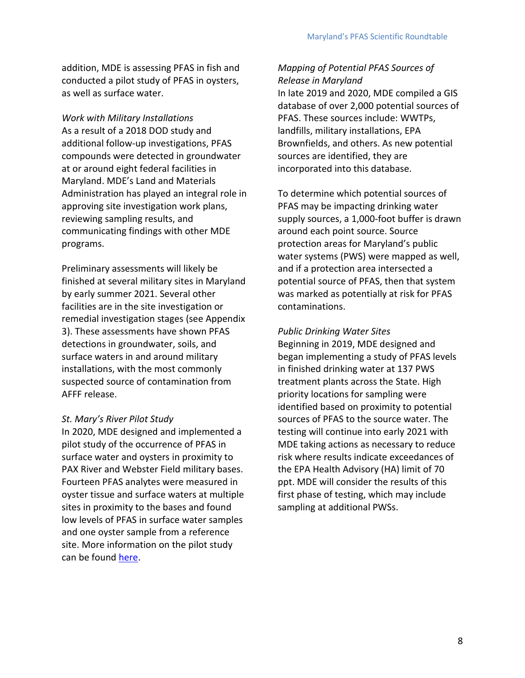addition, MDE is assessing PFAS in fish and conducted a pilot study of PFAS in oysters, as well as surface water.

*Work with Military Installations* As a result of a 2018 DOD study and additional follow-up investigations, PFAS compounds were detected in groundwater at or around eight federal facilities in Maryland. MDE's Land and Materials Administration has played an integral role in approving site investigation work plans, reviewing sampling results, and communicating findings with other MDE programs.

Preliminary assessments will likely be finished at several military sites in Maryland by early summer 2021. Several other facilities are in the site investigation or remedial investigation stages (see Appendix 3). These assessments have shown PFAS detections in groundwater, soils, and surface waters in and around military installations, with the most commonly suspected source of contamination from AFFF release.

#### *St. Mary's River Pilot Study*

In 2020, MDE designed and implemented a pilot study of the occurrence of PFAS in surface water and oysters in proximity to PAX River and Webster Field military bases. Fourteen PFAS analytes were measured in oyster tissue and surface waters at multiple sites in proximity to the bases and found low levels of PFAS in surface water samples and one oyster sample from a reference site. More information on the pilot study can be found [here.](https://mde.maryland.gov/programs/Water/FishandShellfish/Pages/StMarys_PFAS.aspx)

*Mapping of Potential PFAS Sources of Release in Maryland* In late 2019 and 2020, MDE compiled a GIS database of over 2,000 potential sources of PFAS. These sources include: WWTPs, landfills, military installations, EPA Brownfields, and others. As new potential sources are identified, they are incorporated into this database.

To determine which potential sources of PFAS may be impacting drinking water supply sources, a 1,000-foot buffer is drawn around each point source. Source protection areas for Maryland's public water systems (PWS) were mapped as well, and if a protection area intersected a potential source of PFAS, then that system was marked as potentially at risk for PFAS contaminations.

*Public Drinking Water Sites* Beginning in 2019, MDE designed and began implementing a study of PFAS levels in finished drinking water at 137 PWS treatment plants across the State. High priority locations for sampling were identified based on proximity to potential sources of PFAS to the source water. The testing will continue into early 2021 with MDE taking actions as necessary to reduce risk where results indicate exceedances of the EPA Health Advisory (HA) limit of 70 ppt. MDE will consider the results of this first phase of testing, which may include sampling at additional PWSs.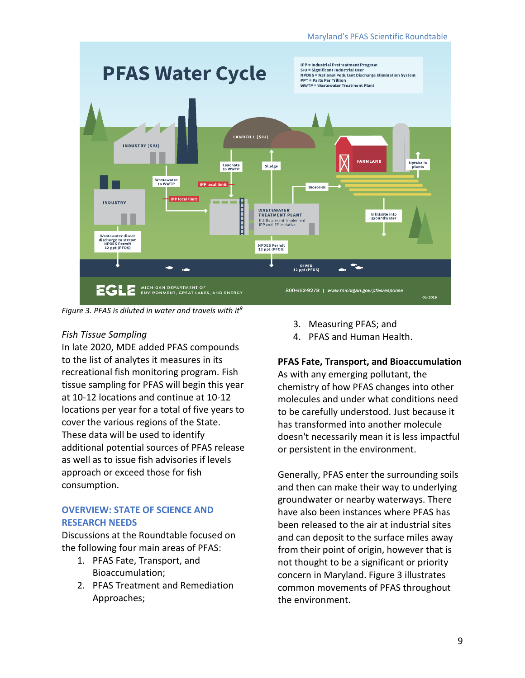

#### *Figure 3. PFAS is diluted in water and travels with it<sup>9</sup>*

#### *Fish Tissue Sampling*

In late 2020, MDE added PFAS compounds to the list of analytes it measures in its recreational fish monitoring program. Fish tissue sampling for PFAS will begin this year at 10-12 locations and continue at 10-12 locations per year for a total of five years to cover the various regions of the State. These data will be used to identify additional potential sources of PFAS release as well as to issue fish advisories if levels approach or exceed those for fish consumption.

#### **OVERVIEW: STATE OF SCIENCE AND RESEARCH NEEDS**

Discussions at the Roundtable focused on the following four main areas of PFAS:

- 1. PFAS Fate, Transport, and Bioaccumulation;
- 2. PFAS Treatment and Remediation Approaches;
- 3. Measuring PFAS; and
- 4. PFAS and Human Health.

#### **PFAS Fate, Transport, and Bioaccumulation**

As with any emerging pollutant, the chemistry of how PFAS changes into other molecules and under what conditions need to be carefully understood. Just because it has transformed into another molecule doesn't necessarily mean it is less impactful or persistent in the environment.

Generally, PFAS enter the surrounding soils and then can make their way to underlying groundwater or nearby waterways. There have also been instances where PFAS has been released to the air at industrial sites and can deposit to the surface miles away from their point of origin, however that is not thought to be a significant or priority concern in Maryland. Figure 3 illustrates common movements of PFAS throughout the environment.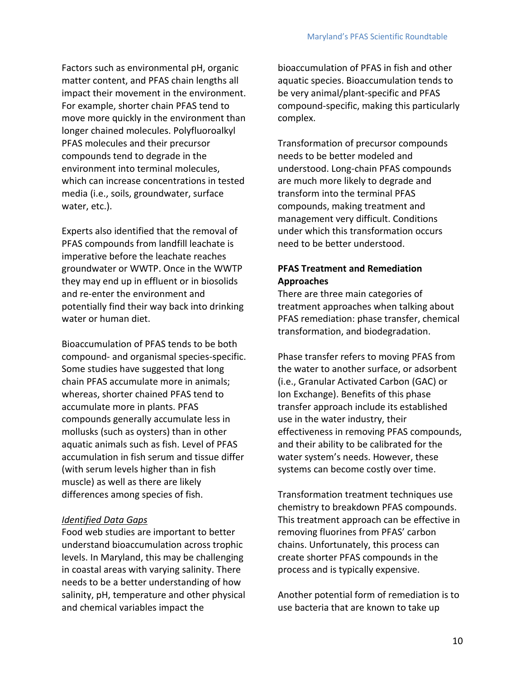Factors such as environmental pH, organic matter content, and PFAS chain lengths all impact their movement in the environment. For example, shorter chain PFAS tend to move more quickly in the environment than longer chained molecules. Polyfluoroalkyl PFAS molecules and their precursor compounds tend to degrade in the environment into terminal molecules, which can increase concentrations in tested media (i.e., soils, groundwater, surface water, etc.).

Experts also identified that the removal of PFAS compounds from landfill leachate is imperative before the leachate reaches groundwater or WWTP. Once in the WWTP they may end up in effluent or in biosolids and re-enter the environment and potentially find their way back into drinking water or human diet.

Bioaccumulation of PFAS tends to be both compound- and organismal species-specific. Some studies have suggested that long chain PFAS accumulate more in animals; whereas, shorter chained PFAS tend to accumulate more in plants. PFAS compounds generally accumulate less in mollusks (such as oysters) than in other aquatic animals such as fish. Level of PFAS accumulation in fish serum and tissue differ (with serum levels higher than in fish muscle) as well as there are likely differences among species of fish.

#### *Identified Data Gaps*

Food web studies are important to better understand bioaccumulation across trophic levels. In Maryland, this may be challenging in coastal areas with varying salinity. There needs to be a better understanding of how salinity, pH, temperature and other physical and chemical variables impact the

bioaccumulation of PFAS in fish and other aquatic species. Bioaccumulation tends to be very animal/plant-specific and PFAS compound-specific, making this particularly complex.

Transformation of precursor compounds needs to be better modeled and understood. Long-chain PFAS compounds are much more likely to degrade and transform into the terminal PFAS compounds, making treatment and management very difficult. Conditions under which this transformation occurs need to be better understood.

#### **PFAS Treatment and Remediation Approaches**

There are three main categories of treatment approaches when talking about PFAS remediation: phase transfer, chemical transformation, and biodegradation.

Phase transfer refers to moving PFAS from the water to another surface, or adsorbent (i.e., Granular Activated Carbon (GAC) or Ion Exchange). Benefits of this phase transfer approach include its established use in the water industry, their effectiveness in removing PFAS compounds, and their ability to be calibrated for the water system's needs. However, these systems can become costly over time.

Transformation treatment techniques use chemistry to breakdown PFAS compounds. This treatment approach can be effective in removing fluorines from PFAS' carbon chains. Unfortunately, this process can create shorter PFAS compounds in the process and is typically expensive.

Another potential form of remediation is to use bacteria that are known to take up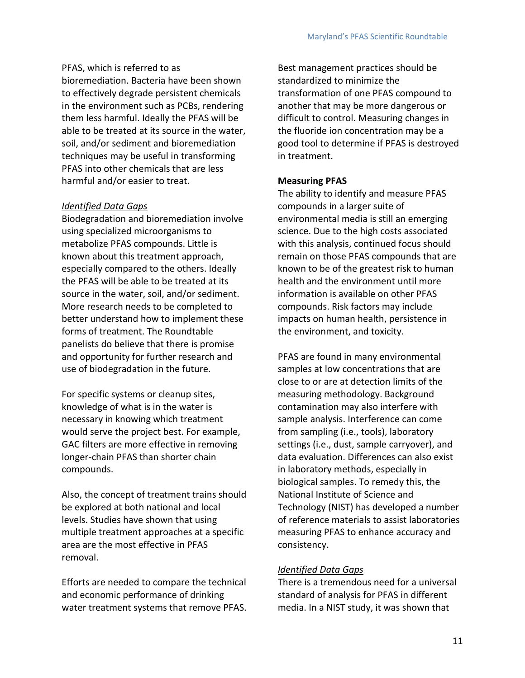PFAS, which is referred to as bioremediation. Bacteria have been shown to effectively degrade persistent chemicals in the environment such as PCBs, rendering them less harmful. Ideally the PFAS will be able to be treated at its source in the water, soil, and/or sediment and bioremediation techniques may be useful in transforming PFAS into other chemicals that are less harmful and/or easier to treat.

#### *Identified Data Gaps*

Biodegradation and bioremediation involve using specialized microorganisms to metabolize PFAS compounds. Little is known about this treatment approach, especially compared to the others. Ideally the PFAS will be able to be treated at its source in the water, soil, and/or sediment. More research needs to be completed to better understand how to implement these forms of treatment. The Roundtable panelists do believe that there is promise and opportunity for further research and use of biodegradation in the future.

For specific systems or cleanup sites, knowledge of what is in the water is necessary in knowing which treatment would serve the project best. For example, GAC filters are more effective in removing longer-chain PFAS than shorter chain compounds.

Also, the concept of treatment trains should be explored at both national and local levels. Studies have shown that using multiple treatment approaches at a specific area are the most effective in PFAS removal.

Efforts are needed to compare the technical and economic performance of drinking water treatment systems that remove PFAS. Best management practices should be standardized to minimize the transformation of one PFAS compound to another that may be more dangerous or difficult to control. Measuring changes in the fluoride ion concentration may be a good tool to determine if PFAS is destroyed in treatment.

#### **Measuring PFAS**

The ability to identify and measure PFAS compounds in a larger suite of environmental media is still an emerging science. Due to the high costs associated with this analysis, continued focus should remain on those PFAS compounds that are known to be of the greatest risk to human health and the environment until more information is available on other PFAS compounds. Risk factors may include impacts on human health, persistence in the environment, and toxicity.

PFAS are found in many environmental samples at low concentrations that are close to or are at detection limits of the measuring methodology. Background contamination may also interfere with sample analysis. Interference can come from sampling (i.e., tools), laboratory settings (i.e., dust, sample carryover), and data evaluation. Differences can also exist in laboratory methods, especially in biological samples. To remedy this, the National Institute of Science and Technology (NIST) has developed a number of reference materials to assist laboratories measuring PFAS to enhance accuracy and consistency.

#### *Identified Data Gaps*

There is a tremendous need for a universal standard of analysis for PFAS in different media. In a NIST study, it was shown that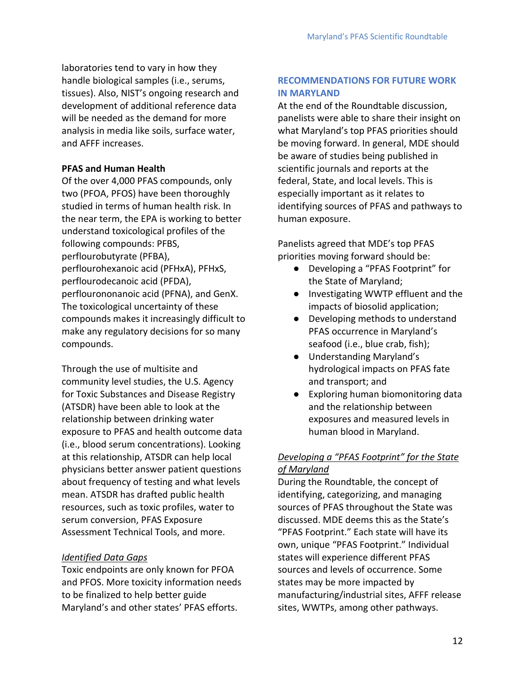laboratories tend to vary in how they handle biological samples (i.e., serums, tissues). Also, NIST's ongoing research and development of additional reference data will be needed as the demand for more analysis in media like soils, surface water, and AFFF increases.

#### **PFAS and Human Health**

Of the over 4,000 PFAS compounds, only two (PFOA, PFOS) have been thoroughly studied in terms of human health risk. In the near term, the EPA is working to better understand toxicological profiles of the following compounds: PFBS, perflourobutyrate (PFBA), perflourohexanoic acid (PFHxA), PFHxS, perflourodecanoic acid (PFDA), perflourononanoic acid (PFNA), and GenX. The toxicological uncertainty of these compounds makes it increasingly difficult to make any regulatory decisions for so many compounds.

Through the use of multisite and community level studies, the U.S. Agency for Toxic Substances and Disease Registry (ATSDR) have been able to look at the relationship between drinking water exposure to PFAS and health outcome data (i.e., blood serum concentrations). Looking at this relationship, ATSDR can help local physicians better answer patient questions about frequency of testing and what levels mean. ATSDR has drafted public health resources, such as toxic profiles, water to serum conversion, PFAS Exposure Assessment Technical Tools, and more.

#### *Identified Data Gaps*

Toxic endpoints are only known for PFOA and PFOS. More toxicity information needs to be finalized to help better guide Maryland's and other states' PFAS efforts.

#### **RECOMMENDATIONS FOR FUTURE WORK IN MARYLAND**

At the end of the Roundtable discussion, panelists were able to share their insight on what Maryland's top PFAS priorities should be moving forward. In general, MDE should be aware of studies being published in scientific journals and reports at the federal, State, and local levels. This is especially important as it relates to identifying sources of PFAS and pathways to human exposure.

Panelists agreed that MDE's top PFAS priorities moving forward should be:

- Developing a "PFAS Footprint" for the State of Maryland;
- Investigating WWTP effluent and the impacts of biosolid application;
- Developing methods to understand PFAS occurrence in Maryland's seafood (i.e., blue crab, fish);
- Understanding Maryland's hydrological impacts on PFAS fate and transport; and
- Exploring human biomonitoring data and the relationship between exposures and measured levels in human blood in Maryland.

#### *Developing a "PFAS Footprint" for the State of Maryland*

During the Roundtable, the concept of identifying, categorizing, and managing sources of PFAS throughout the State was discussed. MDE deems this as the State's "PFAS Footprint." Each state will have its own, unique "PFAS Footprint." Individual states will experience different PFAS sources and levels of occurrence. Some states may be more impacted by manufacturing/industrial sites, AFFF release sites, WWTPs, among other pathways.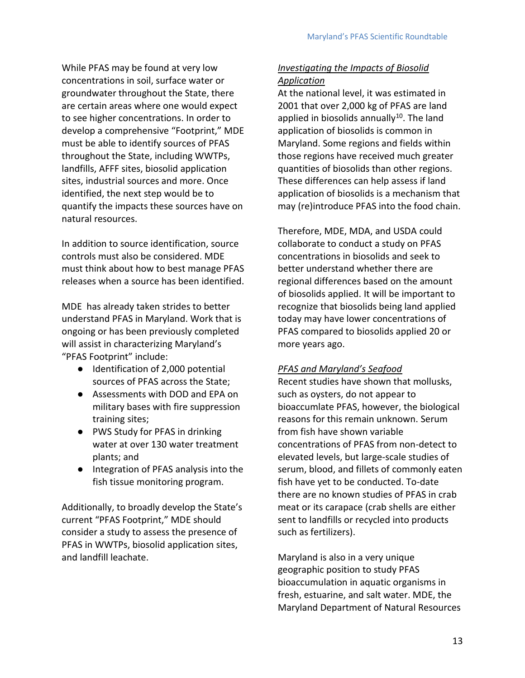While PFAS may be found at very low concentrations in soil, surface water or groundwater throughout the State, there are certain areas where one would expect to see higher concentrations. In order to develop a comprehensive "Footprint," MDE must be able to identify sources of PFAS throughout the State, including WWTPs, landfills, AFFF sites, biosolid application sites, industrial sources and more. Once identified, the next step would be to quantify the impacts these sources have on natural resources.

In addition to source identification, source controls must also be considered. MDE must think about how to best manage PFAS releases when a source has been identified.

MDE has already taken strides to better understand PFAS in Maryland. Work that is ongoing or has been previously completed will assist in characterizing Maryland's "PFAS Footprint" include:

- Identification of 2,000 potential sources of PFAS across the State;
- Assessments with DOD and EPA on military bases with fire suppression training sites;
- PWS Study for PFAS in drinking water at over 130 water treatment plants; and
- Integration of PFAS analysis into the fish tissue monitoring program.

Additionally, to broadly develop the State's current "PFAS Footprint," MDE should consider a study to assess the presence of PFAS in WWTPs, biosolid application sites, and landfill leachate.

#### *Investigating the Impacts of Biosolid Application*

At the national level, it was estimated in 2001 that over 2,000 kg of PFAS are land applied in biosolids annually<sup>10</sup>. The land application of biosolids is common in Maryland. Some regions and fields within those regions have received much greater quantities of biosolids than other regions. These differences can help assess if land application of biosolids is a mechanism that may (re)introduce PFAS into the food chain.

Therefore, MDE, MDA, and USDA could collaborate to conduct a study on PFAS concentrations in biosolids and seek to better understand whether there are regional differences based on the amount of biosolids applied. It will be important to recognize that biosolids being land applied today may have lower concentrations of PFAS compared to biosolids applied 20 or more years ago.

#### *PFAS and Maryland's Seafood*

Recent studies have shown that mollusks, such as oysters, do not appear to bioaccumlate PFAS, however, the biological reasons for this remain unknown. Serum from fish have shown variable concentrations of PFAS from non-detect to elevated levels, but large-scale studies of serum, blood, and fillets of commonly eaten fish have yet to be conducted. To-date there are no known studies of PFAS in crab meat or its carapace (crab shells are either sent to landfills or recycled into products such as fertilizers).

Maryland is also in a very unique geographic position to study PFAS bioaccumulation in aquatic organisms in fresh, estuarine, and salt water. MDE, the Maryland Department of Natural Resources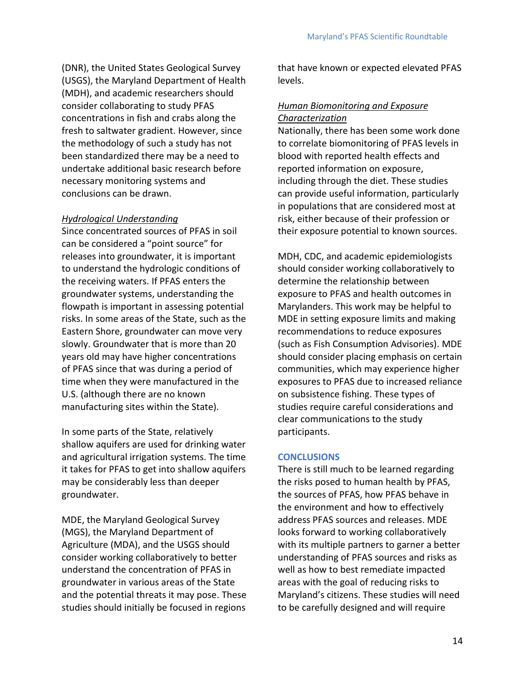(DNR), the United States Geological Survey (USGS), the Maryland Department of Health (MDH), and academic researchers should consider collaborating to study PFAS concentrations in fish and crabs along the fresh to saltwater gradient. However, since the methodology of such a study has not been standardized there may be a need to undertake additional basic research before necessary monitoring systems and conclusions can be drawn.

#### *Hydrological Understanding*

Since concentrated sources of PFAS in soil can be considered a "point source" for releases into groundwater, it is important to understand the hydrologic conditions of the receiving waters. If PFAS enters the groundwater systems, understanding the flowpath is important in assessing potential risks. In some areas of the State, such as the Eastern Shore, groundwater can move very slowly. Groundwater that is more than 20 years old may have higher concentrations of PFAS since that was during a period of time when they were manufactured in the U.S. (although there are no known manufacturing sites within the State).

In some parts of the State, relatively shallow aquifers are used for drinking water and agricultural irrigation systems. The time it takes for PFAS to get into shallow aquifers may be considerably less than deeper groundwater.

MDE, the Maryland Geological Survey (MGS), the Maryland Department of Agriculture (MDA), and the USGS should consider working collaboratively to better understand the concentration of PFAS in groundwater in various areas of the State and the potential threats it may pose. These studies should initially be focused in regions

that have known or expected elevated PFAS levels.

#### *Human Biomonitoring and Exposure Characterization*

Nationally, there has been some work done to correlate biomonitoring of PFAS levels in blood with reported health effects and reported information on exposure, including through the diet. These studies can provide useful information, particularly in populations that are considered most at risk, either because of their profession or their exposure potential to known sources.

MDH, CDC, and academic epidemiologists should consider working collaboratively to determine the relationship between exposure to PFAS and health outcomes in Marylanders. This work may be helpful to MDE in setting exposure limits and making recommendations to reduce exposures (such as Fish Consumption Advisories). MDE should consider placing emphasis on certain communities, which may experience higher exposures to PFAS due to increased reliance on subsistence fishing. These types of studies require careful considerations and clear communications to the study participants.

#### **CONCLUSIONS**

There is still much to be learned regarding the risks posed to human health by PFAS, the sources of PFAS, how PFAS behave in the environment and how to effectively address PFAS sources and releases. MDE looks forward to working collaboratively with its multiple partners to garner a better understanding of PFAS sources and risks as well as how to best remediate impacted areas with the goal of reducing risks to Maryland's citizens. These studies will need to be carefully designed and will require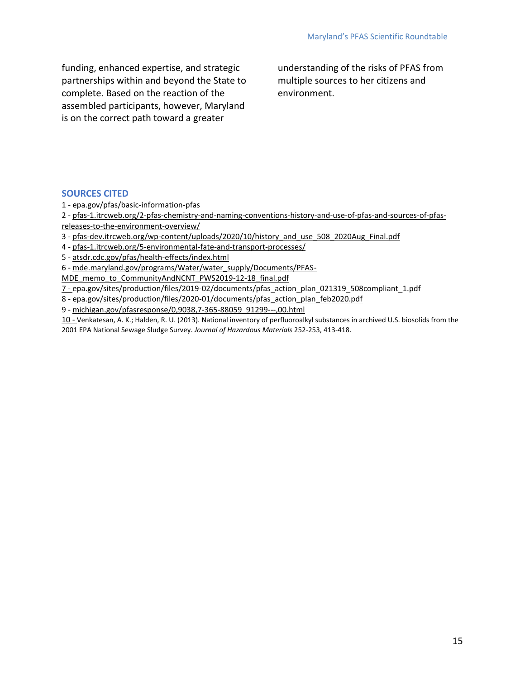funding, enhanced expertise, and strategic partnerships within and beyond the State to complete. Based on the reaction of the assembled participants, however, Maryland is on the correct path toward a greater

understanding of the risks of PFAS from multiple sources to her citizens and environment.

#### **SOURCES CITED**

1 - [epa.gov/pfas/basic-information-pfas](https://www.epa.gov/pfas/basic-information-pfas)

2 - [pfas-1.itrcweb.org/2-pfas-chemistry-and-naming-conventions-history-and-use-of-pfas-and-sources-of-pfas](https://pfas-1.itrcweb.org/2-pfas-chemistry-and-naming-conventions-history-and-use-of-pfas-and-sources-of-pfas-releases-to-the-environment-overview/)[releases-to-the-environment-overview/](https://pfas-1.itrcweb.org/2-pfas-chemistry-and-naming-conventions-history-and-use-of-pfas-and-sources-of-pfas-releases-to-the-environment-overview/)

3 - [pfas-dev.itrcweb.org/wp-content/uploads/2020/10/history\\_and\\_use\\_508\\_2020Aug\\_Final.pdf](https://pfas-dev.itrcweb.org/wp-content/uploads/2020/10/history_and_use_508_2020Aug_Final.pdf)

- 4 [pfas-1.itrcweb.org/5-environmental-fate-and-transport-processes/](https://pfas-1.itrcweb.org/5-environmental-fate-and-transport-processes/)
- 5 [atsdr.cdc.gov/pfas/health-effects/index.html](https://www.atsdr.cdc.gov/pfas/health-effects/index.html)
- 6 [mde.maryland.gov/programs/Water/water\\_supply/Documents/PFAS-](https://mde.maryland.gov/programs/Water/water_supply/Documents/PFAS-MDE_memo_to_CommunityAndNCNT_PWS2019-12-18_final.pdf)
- [MDE\\_memo\\_to\\_CommunityAndNCNT\\_PWS2019-12-18\\_final.pdf](https://mde.maryland.gov/programs/Water/water_supply/Documents/PFAS-MDE_memo_to_CommunityAndNCNT_PWS2019-12-18_final.pdf)

7 - epa.gov/sites/production/files/2019-02/documents/pfas\_action\_plan\_021319\_508compliant\_1.pdf

- 8 [epa.gov/sites/production/files/2020-01/documents/pfas\\_action\\_plan\\_feb2020.pdf](https://www.epa.gov/sites/production/files/2020-01/documents/pfas_action_plan_feb2020.pdf)
- 9 [michigan.gov/pfasresponse/0,9038,7-365-88059\\_91299---,00.html](https://www.michigan.gov/pfasresponse/0,9038,7-365-88059_91299---,00.html)

10 - Venkatesan, A. K.; Halden, R. U. (2013). National inventory of perfluoroalkyl substances in archived U.S. biosolids from the 2001 EPA National Sewage Sludge Survey. *Journal of Hazardous Materials* 252-253, 413-418.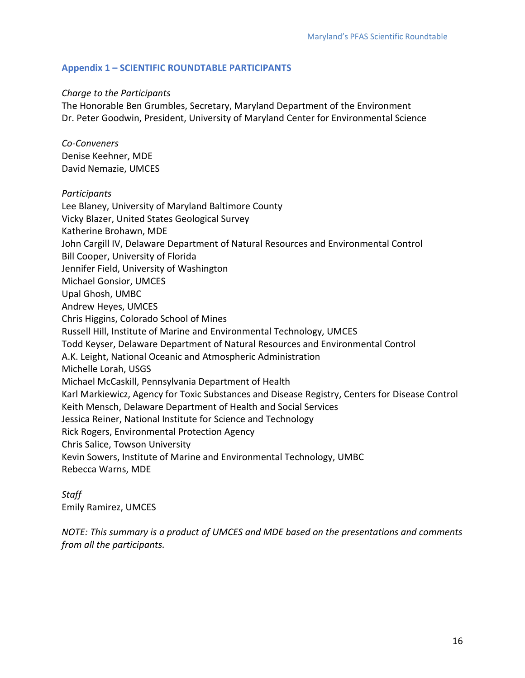#### **Appendix 1 – SCIENTIFIC ROUNDTABLE PARTICIPANTS**

#### *Charge to the Participants*

The Honorable Ben Grumbles, Secretary, Maryland Department of the Environment Dr. Peter Goodwin, President, University of Maryland Center for Environmental Science

*Co-Conveners* Denise Keehner, MDE David Nemazie, UMCES

#### *Participants*

Lee Blaney, University of Maryland Baltimore County Vicky Blazer, United States Geological Survey Katherine Brohawn, MDE John Cargill IV, Delaware Department of Natural Resources and Environmental Control Bill Cooper, University of Florida Jennifer Field, University of Washington Michael Gonsior, UMCES Upal Ghosh, UMBC Andrew Heyes, UMCES Chris Higgins, Colorado School of Mines Russell Hill, Institute of Marine and Environmental Technology, UMCES Todd Keyser, Delaware Department of Natural Resources and Environmental Control A.K. Leight, National Oceanic and Atmospheric Administration Michelle Lorah, USGS Michael McCaskill, Pennsylvania Department of Health Karl Markiewicz, Agency for Toxic Substances and Disease Registry, Centers for Disease Control Keith Mensch, Delaware Department of Health and Social Services Jessica Reiner, National Institute for Science and Technology Rick Rogers, Environmental Protection Agency Chris Salice, Towson University Kevin Sowers, Institute of Marine and Environmental Technology, UMBC Rebecca Warns, MDE

*Staff* Emily Ramirez, UMCES

*NOTE: This summary is a product of UMCES and MDE based on the presentations and comments from all the participants.*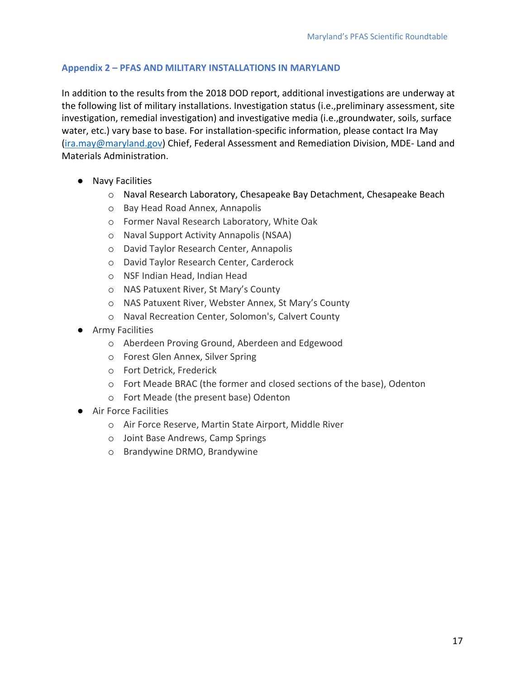#### **Appendix 2 – PFAS AND MILITARY INSTALLATIONS IN MARYLAND**

In addition to the results from the 2018 DOD report, additional investigations are underway at the following list of military installations. Investigation status (i.e.,preliminary assessment, site investigation, remedial investigation) and investigative media (i.e.,groundwater, soils, surface water, etc.) vary base to base. For installation-specific information, please contact Ira May [\(ira.may@maryland.gov\)](mailto:ira.may@maryland.gov) Chief, Federal Assessment and Remediation Division, MDE- Land and Materials Administration.

- Navy Facilities
	- o Naval Research Laboratory, Chesapeake Bay Detachment, Chesapeake Beach
	- o Bay Head Road Annex, Annapolis
	- o Former Naval Research Laboratory, White Oak
	- o Naval Support Activity Annapolis (NSAA)
	- o David Taylor Research Center, Annapolis
	- o David Taylor Research Center, Carderock
	- o NSF Indian Head, Indian Head
	- o NAS Patuxent River, St Mary's County
	- o NAS Patuxent River, Webster Annex, St Mary's County
	- o Naval Recreation Center, Solomon's, Calvert County
- Army Facilities
	- o Aberdeen Proving Ground, Aberdeen and Edgewood
	- o Forest Glen Annex, Silver Spring
	- o Fort Detrick, Frederick
	- o Fort Meade BRAC (the former and closed sections of the base), Odenton
	- o Fort Meade (the present base) Odenton
- Air Force Facilities
	- o Air Force Reserve, Martin State Airport, Middle River
	- o Joint Base Andrews, Camp Springs
	- o Brandywine DRMO, Brandywine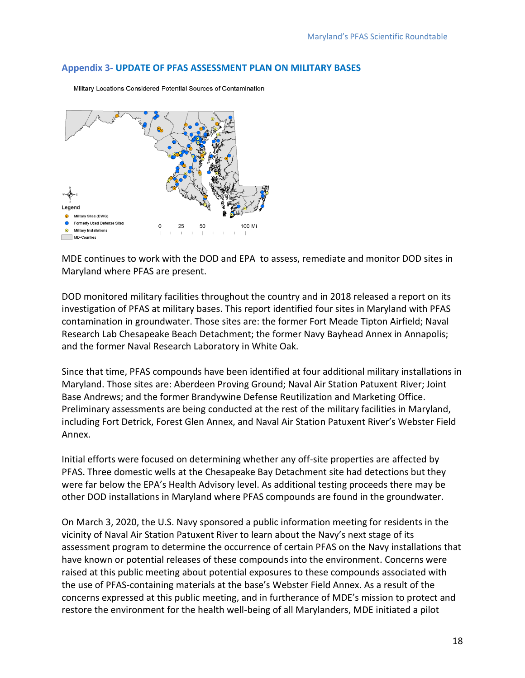#### **Appendix 3- UPDATE OF PFAS ASSESSMENT PLAN ON MILITARY BASES**



Military Locations Considered Potential Sources of Contamination

MDE continues to work with the DOD and EPA to assess, remediate and monitor DOD sites in Maryland where PFAS are present.

DOD monitored military facilities throughout the country and in 2018 released a report on its investigation of PFAS at military bases. This report identified four sites in Maryland with PFAS contamination in groundwater. Those sites are: the former Fort Meade Tipton Airfield; Naval Research Lab Chesapeake Beach Detachment; the former Navy Bayhead Annex in Annapolis; and the former Naval Research Laboratory in White Oak.

Since that time, PFAS compounds have been identified at four additional military installations in Maryland. Those sites are: Aberdeen Proving Ground; Naval Air Station Patuxent River; Joint Base Andrews; and the former Brandywine Defense Reutilization and Marketing Office. Preliminary assessments are being conducted at the rest of the military facilities in Maryland, including Fort Detrick, Forest Glen Annex, and Naval Air Station Patuxent River's Webster Field Annex.

Initial efforts were focused on determining whether any off-site properties are affected by PFAS. Three domestic wells at the Chesapeake Bay Detachment site had detections but they were far below the EPA's Health Advisory level. As additional testing proceeds there may be other DOD installations in Maryland where PFAS compounds are found in the groundwater.

On March 3, 2020, the U.S. Navy sponsored a public information meeting for residents in the vicinity of Naval Air Station Patuxent River to learn about the Navy's next stage of its assessment program to determine the occurrence of certain PFAS on the Navy installations that have known or potential releases of these compounds into the environment. Concerns were raised at this public meeting about potential exposures to these compounds associated with the use of PFAS-containing materials at the base's Webster Field Annex. As a result of the concerns expressed at this public meeting, and in furtherance of MDE's mission to protect and restore the environment for the health well-being of all Marylanders, MDE initiated a pilot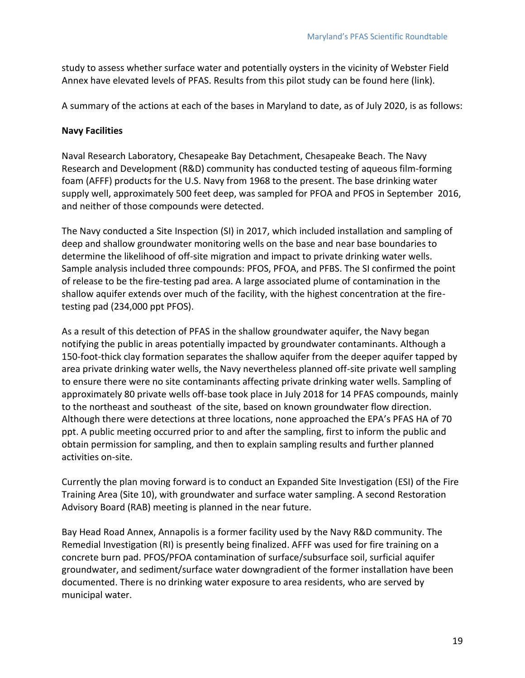study to assess whether surface water and potentially oysters in the vicinity of Webster Field Annex have elevated levels of PFAS. Results from this pilot study can be found here (link).

A summary of the actions at each of the bases in Maryland to date, as of July 2020, is as follows:

#### **Navy Facilities**

Naval Research Laboratory, Chesapeake Bay Detachment, Chesapeake Beach. The Navy Research and Development (R&D) community has conducted testing of aqueous film-forming foam (AFFF) products for the U.S. Navy from 1968 to the present. The base drinking water supply well, approximately 500 feet deep, was sampled for PFOA and PFOS in September 2016, and neither of those compounds were detected.

The Navy conducted a Site Inspection (SI) in 2017, which included installation and sampling of deep and shallow groundwater monitoring wells on the base and near base boundaries to determine the likelihood of off-site migration and impact to private drinking water wells. Sample analysis included three compounds: PFOS, PFOA, and PFBS. The SI confirmed the point of release to be the fire-testing pad area. A large associated plume of contamination in the shallow aquifer extends over much of the facility, with the highest concentration at the firetesting pad (234,000 ppt PFOS).

As a result of this detection of PFAS in the shallow groundwater aquifer, the Navy began notifying the public in areas potentially impacted by groundwater contaminants. Although a 150-foot-thick clay formation separates the shallow aquifer from the deeper aquifer tapped by area private drinking water wells, the Navy nevertheless planned off-site private well sampling to ensure there were no site contaminants affecting private drinking water wells. Sampling of approximately 80 private wells off-base took place in July 2018 for 14 PFAS compounds, mainly to the northeast and southeast of the site, based on known groundwater flow direction. Although there were detections at three locations, none approached the EPA's PFAS HA of 70 ppt. A public meeting occurred prior to and after the sampling, first to inform the public and obtain permission for sampling, and then to explain sampling results and further planned activities on-site.

Currently the plan moving forward is to conduct an Expanded Site Investigation (ESI) of the Fire Training Area (Site 10), with groundwater and surface water sampling. A second Restoration Advisory Board (RAB) meeting is planned in the near future.

Bay Head Road Annex, Annapolis is a former facility used by the Navy R&D community. The Remedial Investigation (RI) is presently being finalized. AFFF was used for fire training on a concrete burn pad. PFOS/PFOA contamination of surface/subsurface soil, surficial aquifer groundwater, and sediment/surface water downgradient of the former installation have been documented. There is no drinking water exposure to area residents, who are served by municipal water.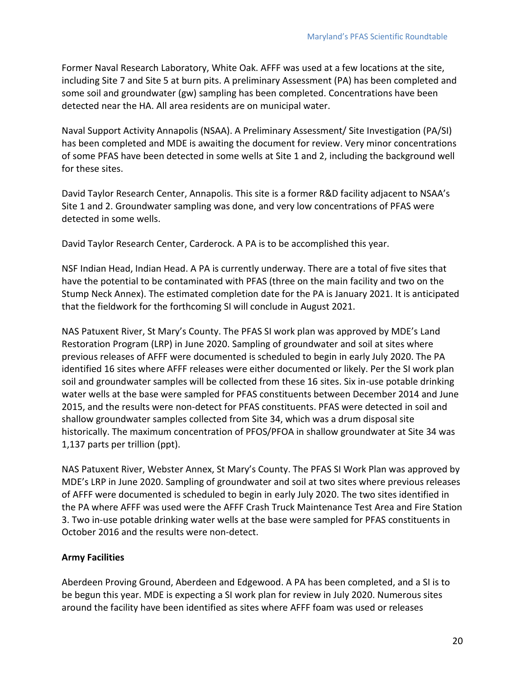Former Naval Research Laboratory, White Oak. AFFF was used at a few locations at the site, including Site 7 and Site 5 at burn pits. A preliminary Assessment (PA) has been completed and some soil and groundwater (gw) sampling has been completed. Concentrations have been detected near the HA. All area residents are on municipal water.

Naval Support Activity Annapolis (NSAA). A Preliminary Assessment/ Site Investigation (PA/SI) has been completed and MDE is awaiting the document for review. Very minor concentrations of some PFAS have been detected in some wells at Site 1 and 2, including the background well for these sites.

David Taylor Research Center, Annapolis. This site is a former R&D facility adjacent to NSAA's Site 1 and 2. Groundwater sampling was done, and very low concentrations of PFAS were detected in some wells.

David Taylor Research Center, Carderock. A PA is to be accomplished this year.

NSF Indian Head, Indian Head. A PA is currently underway. There are a total of five sites that have the potential to be contaminated with PFAS (three on the main facility and two on the Stump Neck Annex). The estimated completion date for the PA is January 2021. It is anticipated that the fieldwork for the forthcoming SI will conclude in August 2021.

NAS Patuxent River, St Mary's County. The PFAS SI work plan was approved by MDE's Land Restoration Program (LRP) in June 2020. Sampling of groundwater and soil at sites where previous releases of AFFF were documented is scheduled to begin in early July 2020. The PA identified 16 sites where AFFF releases were either documented or likely. Per the SI work plan soil and groundwater samples will be collected from these 16 sites. Six in-use potable drinking water wells at the base were sampled for PFAS constituents between December 2014 and June 2015, and the results were non-detect for PFAS constituents. PFAS were detected in soil and shallow groundwater samples collected from Site 34, which was a drum disposal site historically. The maximum concentration of PFOS/PFOA in shallow groundwater at Site 34 was 1,137 parts per trillion (ppt).

NAS Patuxent River, Webster Annex, St Mary's County. The PFAS SI Work Plan was approved by MDE's LRP in June 2020. Sampling of groundwater and soil at two sites where previous releases of AFFF were documented is scheduled to begin in early July 2020. The two sites identified in the PA where AFFF was used were the AFFF Crash Truck Maintenance Test Area and Fire Station 3. Two in-use potable drinking water wells at the base were sampled for PFAS constituents in October 2016 and the results were non-detect.

#### **Army Facilities**

Aberdeen Proving Ground, Aberdeen and Edgewood. A PA has been completed, and a SI is to be begun this year. MDE is expecting a SI work plan for review in July 2020. Numerous sites around the facility have been identified as sites where AFFF foam was used or releases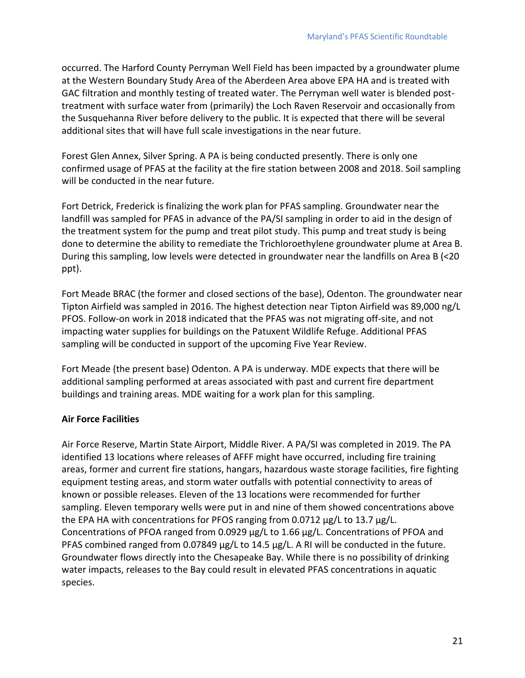occurred. The Harford County Perryman Well Field has been impacted by a groundwater plume at the Western Boundary Study Area of the Aberdeen Area above EPA HA and is treated with GAC filtration and monthly testing of treated water. The Perryman well water is blended posttreatment with surface water from (primarily) the Loch Raven Reservoir and occasionally from the Susquehanna River before delivery to the public. It is expected that there will be several additional sites that will have full scale investigations in the near future.

Forest Glen Annex, Silver Spring. A PA is being conducted presently. There is only one confirmed usage of PFAS at the facility at the fire station between 2008 and 2018. Soil sampling will be conducted in the near future.

Fort Detrick, Frederick is finalizing the work plan for PFAS sampling. Groundwater near the landfill was sampled for PFAS in advance of the PA/SI sampling in order to aid in the design of the treatment system for the pump and treat pilot study. This pump and treat study is being done to determine the ability to remediate the Trichloroethylene groundwater plume at Area B. During this sampling, low levels were detected in groundwater near the landfills on Area B (<20 ppt).

Fort Meade BRAC (the former and closed sections of the base), Odenton. The groundwater near Tipton Airfield was sampled in 2016. The highest detection near Tipton Airfield was 89,000 ng/L PFOS. Follow-on work in 2018 indicated that the PFAS was not migrating off-site, and not impacting water supplies for buildings on the Patuxent Wildlife Refuge. Additional PFAS sampling will be conducted in support of the upcoming Five Year Review.

Fort Meade (the present base) Odenton. A PA is underway. MDE expects that there will be additional sampling performed at areas associated with past and current fire department buildings and training areas. MDE waiting for a work plan for this sampling.

#### **Air Force Facilities**

Air Force Reserve, Martin State Airport, Middle River. A PA/SI was completed in 2019. The PA identified 13 locations where releases of AFFF might have occurred, including fire training areas, former and current fire stations, hangars, hazardous waste storage facilities, fire fighting equipment testing areas, and storm water outfalls with potential connectivity to areas of known or possible releases. Eleven of the 13 locations were recommended for further sampling. Eleven temporary wells were put in and nine of them showed concentrations above the EPA HA with concentrations for PFOS ranging from 0.0712 µg/L to 13.7 µg/L. Concentrations of PFOA ranged from 0.0929 µg/L to 1.66 µg/L. Concentrations of PFOA and PFAS combined ranged from 0.07849 µg/L to 14.5 µg/L. A RI will be conducted in the future. Groundwater flows directly into the Chesapeake Bay. While there is no possibility of drinking water impacts, releases to the Bay could result in elevated PFAS concentrations in aquatic species.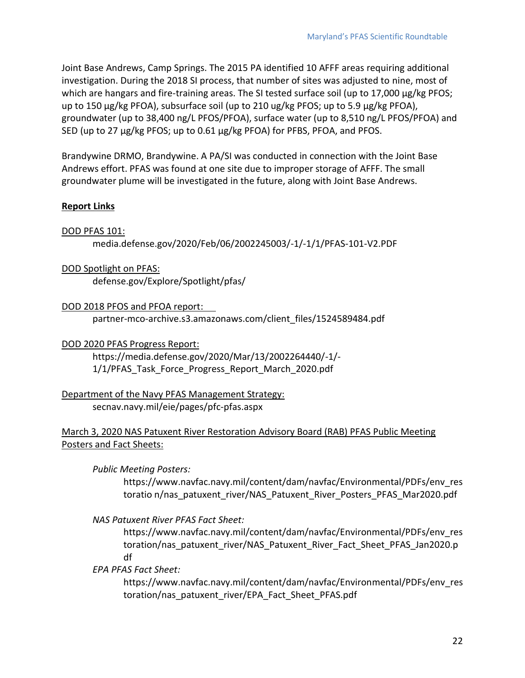Joint Base Andrews, Camp Springs. The 2015 PA identified 10 AFFF areas requiring additional investigation. During the 2018 SI process, that number of sites was adjusted to nine, most of which are hangars and fire-training areas. The SI tested surface soil (up to 17,000 μg/kg PFOS; up to 150 µg/kg PFOA), subsurface soil (up to 210 ug/kg PFOS; up to 5.9 µg/kg PFOA), groundwater (up to 38,400 ng/L PFOS/PFOA), surface water (up to 8,510 ng/L PFOS/PFOA) and SED (up to 27 µg/kg PFOS; up to 0.61 µg/kg PFOA) for PFBS, PFOA, and PFOS.

Brandywine DRMO, Brandywine. A PA/SI was conducted in connection with the Joint Base Andrews effort. PFAS was found at one site due to improper storage of AFFF. The small groundwater plume will be investigated in the future, along with Joint Base Andrews.

#### **Report Links**

#### DOD PFAS 101:

media.defense.gov/2020/Feb/06/2002245003/-1/-1/1/PFAS-101-V2.PDF

DOD Spotlight on PFAS: defense.gov/Explore/Spotlight/pfas/

DOD 2018 PFOS and PFOA report:

partner-mco-archive.s3.amazonaws.com/client\_files/1524589484.pdf

DOD 2020 PFAS Progress Report:

https://media.defense.gov/2020/Mar/13/2002264440/-1/- 1/1/PFAS Task Force Progress Report March 2020.pdf

Department of the Navy PFAS Management Strategy: secnav.navy.mil/eie/pages/pfc-pfas.aspx

#### March 3, 2020 NAS Patuxent River Restoration Advisory Board (RAB) PFAS Public Meeting Posters and Fact Sheets:

*Public Meeting Posters:* 

https://www.navfac.navy.mil/content/dam/navfac/Environmental/PDFs/env\_res toratio n/nas\_patuxent\_river/NAS\_Patuxent\_River\_Posters\_PFAS\_Mar2020.pdf

*NAS Patuxent River PFAS Fact Sheet:*

https://www.navfac.navy.mil/content/dam/navfac/Environmental/PDFs/env\_res toration/nas\_patuxent\_river/NAS\_Patuxent\_River\_Fact\_Sheet\_PFAS\_Jan2020.p df

*EPA PFAS Fact Sheet:*

https://www.navfac.navy.mil/content/dam/navfac/Environmental/PDFs/env\_res toration/nas\_patuxent\_river/EPA\_Fact\_Sheet\_PFAS.pdf